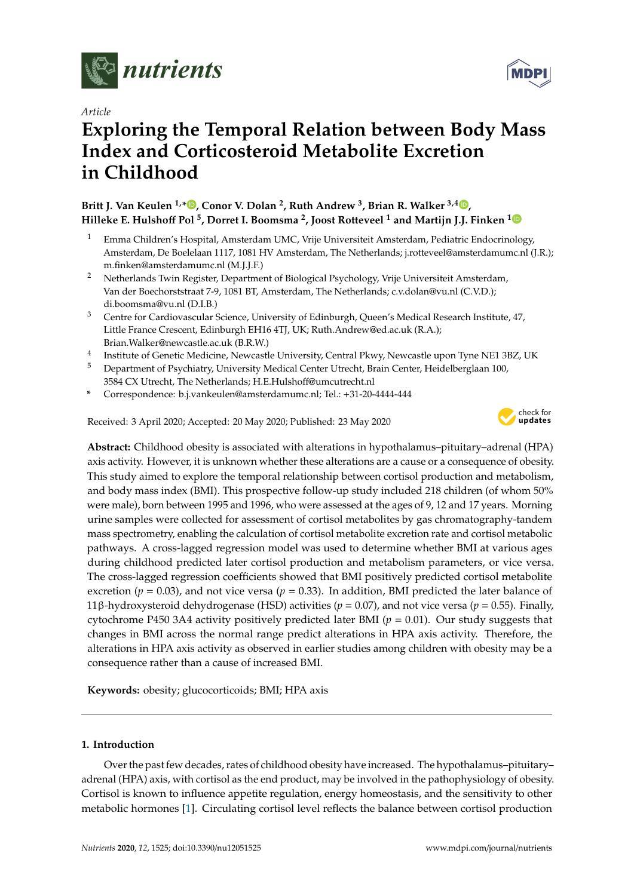

## *Article*

# **Exploring the Temporal Relation between Body Mass Index and Corticosteroid Metabolite Excretion in Childhood**

# **Britt J. Van Keulen 1,[\\*](https://orcid.org/0000-0003-2848-9533) , Conor V. Dolan <sup>2</sup> , Ruth Andrew <sup>3</sup> , Brian R. Walker 3,4 [,](https://orcid.org/0000-0002-2416-1648) Hilleke E. Hulsho**ff **Pol <sup>5</sup> , Dorret I. Boomsma <sup>2</sup> , Joost Rotteveel <sup>1</sup> and Martijn J.J. Finken [1](https://orcid.org/0000-0002-6589-9788)**

- <sup>1</sup> Emma Children's Hospital, Amsterdam UMC, Vrije Universiteit Amsterdam, Pediatric Endocrinology, Amsterdam, De Boelelaan 1117, 1081 HV Amsterdam, The Netherlands; j.rotteveel@amsterdamumc.nl (J.R.); m.finken@amsterdamumc.nl (M.J.J.F.)
- <sup>2</sup> Netherlands Twin Register, Department of Biological Psychology, Vrije Universiteit Amsterdam, Van der Boechorststraat 7-9, 1081 BT, Amsterdam, The Netherlands; c.v.dolan@vu.nl (C.V.D.); di.boomsma@vu.nl (D.I.B.)
- <sup>3</sup> Centre for Cardiovascular Science, University of Edinburgh, Queen's Medical Research Institute, 47, Little France Crescent, Edinburgh EH16 4TJ, UK; Ruth.Andrew@ed.ac.uk (R.A.); Brian.Walker@newcastle.ac.uk (B.R.W.)
- 4 Institute of Genetic Medicine, Newcastle University, Central Pkwy, Newcastle upon Tyne NE1 3BZ, UK
- <sup>5</sup> Department of Psychiatry, University Medical Center Utrecht, Brain Center, Heidelberglaan 100, 3584 CX Utrecht, The Netherlands; H.E.Hulshoff@umcutrecht.nl
- **\*** Correspondence: b.j.vankeulen@amsterdamumc.nl; Tel.: +31-20-4444-444

Received: 3 April 2020; Accepted: 20 May 2020; Published: 23 May 2020



**Abstract:** Childhood obesity is associated with alterations in hypothalamus–pituitary–adrenal (HPA) axis activity. However, it is unknown whether these alterations are a cause or a consequence of obesity. This study aimed to explore the temporal relationship between cortisol production and metabolism, and body mass index (BMI). This prospective follow-up study included 218 children (of whom 50% were male), born between 1995 and 1996, who were assessed at the ages of 9, 12 and 17 years. Morning urine samples were collected for assessment of cortisol metabolites by gas chromatography-tandem mass spectrometry, enabling the calculation of cortisol metabolite excretion rate and cortisol metabolic pathways. A cross-lagged regression model was used to determine whether BMI at various ages during childhood predicted later cortisol production and metabolism parameters, or vice versa. The cross-lagged regression coefficients showed that BMI positively predicted cortisol metabolite excretion ( $p = 0.03$ ), and not vice versa ( $p = 0.33$ ). In addition, BMI predicted the later balance of 11β-hydroxysteroid dehydrogenase (HSD) activities (*p* = 0.07), and not vice versa (*p* = 0.55). Finally, cytochrome P450 3A4 activity positively predicted later BMI ( $p = 0.01$ ). Our study suggests that changes in BMI across the normal range predict alterations in HPA axis activity. Therefore, the alterations in HPA axis activity as observed in earlier studies among children with obesity may be a consequence rather than a cause of increased BMI.

**Keywords:** obesity; glucocorticoids; BMI; HPA axis

# **1. Introduction**

Over the past few decades, rates of childhood obesity have increased. The hypothalamus–pituitary– adrenal (HPA) axis, with cortisol as the end product, may be involved in the pathophysiology of obesity. Cortisol is known to influence appetite regulation, energy homeostasis, and the sensitivity to other metabolic hormones [\[1\]](#page-7-0). Circulating cortisol level reflects the balance between cortisol production

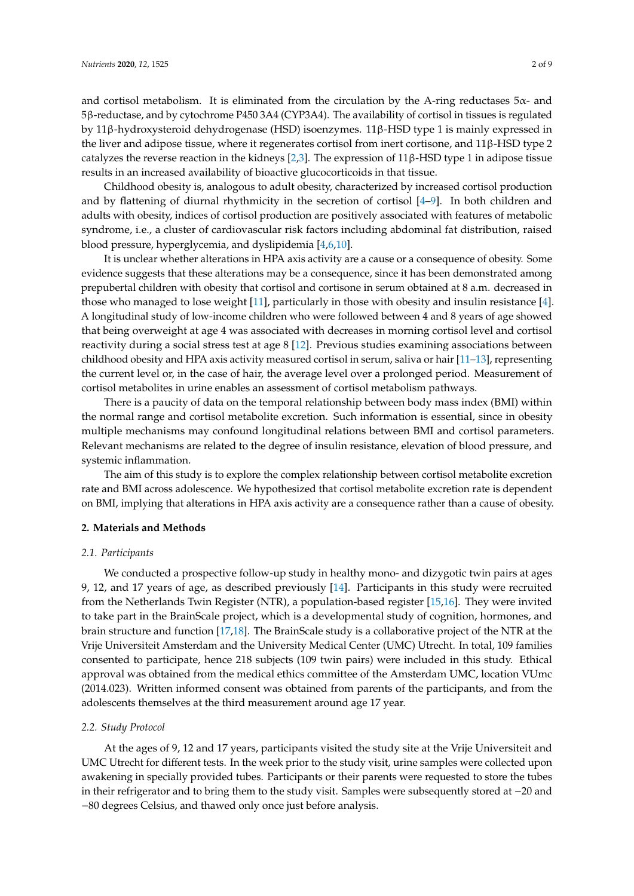and cortisol metabolism. It is eliminated from the circulation by the A-ring reductases  $5\alpha$ - and 5β-reductase, and by cytochrome P450 3A4 (CYP3A4). The availability of cortisol in tissues is regulated by 11β-hydroxysteroid dehydrogenase (HSD) isoenzymes. 11β-HSD type 1 is mainly expressed in the liver and adipose tissue, where it regenerates cortisol from inert cortisone, and 11β-HSD type 2 catalyzes the reverse reaction in the kidneys [\[2,](#page-7-1)[3\]](#page-7-2). The expression of 11β-HSD type 1 in adipose tissue results in an increased availability of bioactive glucocorticoids in that tissue.

Childhood obesity is, analogous to adult obesity, characterized by increased cortisol production and by flattening of diurnal rhythmicity in the secretion of cortisol [\[4–](#page-7-3)[9\]](#page-7-4). In both children and adults with obesity, indices of cortisol production are positively associated with features of metabolic syndrome, i.e., a cluster of cardiovascular risk factors including abdominal fat distribution, raised blood pressure, hyperglycemia, and dyslipidemia [\[4](#page-7-3)[,6](#page-7-5)[,10\]](#page-7-6).

It is unclear whether alterations in HPA axis activity are a cause or a consequence of obesity. Some evidence suggests that these alterations may be a consequence, since it has been demonstrated among prepubertal children with obesity that cortisol and cortisone in serum obtained at 8 a.m. decreased in those who managed to lose weight [\[11\]](#page-7-7), particularly in those with obesity and insulin resistance [\[4\]](#page-7-3). A longitudinal study of low-income children who were followed between 4 and 8 years of age showed that being overweight at age 4 was associated with decreases in morning cortisol level and cortisol reactivity during a social stress test at age 8 [\[12\]](#page-8-0). Previous studies examining associations between childhood obesity and HPA axis activity measured cortisol in serum, saliva or hair [\[11–](#page-7-7)[13\]](#page-8-1), representing the current level or, in the case of hair, the average level over a prolonged period. Measurement of cortisol metabolites in urine enables an assessment of cortisol metabolism pathways.

There is a paucity of data on the temporal relationship between body mass index (BMI) within the normal range and cortisol metabolite excretion. Such information is essential, since in obesity multiple mechanisms may confound longitudinal relations between BMI and cortisol parameters. Relevant mechanisms are related to the degree of insulin resistance, elevation of blood pressure, and systemic inflammation.

The aim of this study is to explore the complex relationship between cortisol metabolite excretion rate and BMI across adolescence. We hypothesized that cortisol metabolite excretion rate is dependent on BMI, implying that alterations in HPA axis activity are a consequence rather than a cause of obesity.

#### **2. Materials and Methods**

#### *2.1. Participants*

We conducted a prospective follow-up study in healthy mono- and dizygotic twin pairs at ages 9, 12, and 17 years of age, as described previously [\[14\]](#page-8-2). Participants in this study were recruited from the Netherlands Twin Register (NTR), a population-based register [\[15,](#page-8-3)[16\]](#page-8-4). They were invited to take part in the BrainScale project, which is a developmental study of cognition, hormones, and brain structure and function [\[17](#page-8-5)[,18\]](#page-8-6). The BrainScale study is a collaborative project of the NTR at the Vrije Universiteit Amsterdam and the University Medical Center (UMC) Utrecht. In total, 109 families consented to participate, hence 218 subjects (109 twin pairs) were included in this study. Ethical approval was obtained from the medical ethics committee of the Amsterdam UMC, location VUmc (2014.023). Written informed consent was obtained from parents of the participants, and from the adolescents themselves at the third measurement around age 17 year.

#### *2.2. Study Protocol*

At the ages of 9, 12 and 17 years, participants visited the study site at the Vrije Universiteit and UMC Utrecht for different tests. In the week prior to the study visit, urine samples were collected upon awakening in specially provided tubes. Participants or their parents were requested to store the tubes in their refrigerator and to bring them to the study visit. Samples were subsequently stored at −20 and −80 degrees Celsius, and thawed only once just before analysis.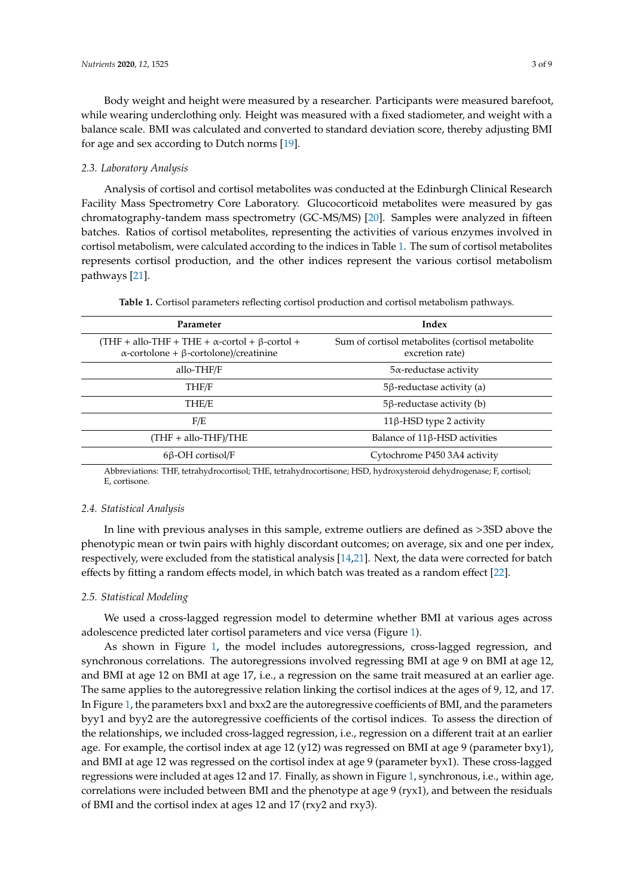Body weight and height were measured by a researcher. Participants were measured barefoot, while wearing underclothing only. Height was measured with a fixed stadiometer, and weight with a balance scale. BMI was calculated and converted to standard deviation score, thereby adjusting BMI for age and sex according to Dutch norms [\[19\]](#page-8-7).

#### *2.3. Laboratory Analysis*

Analysis of cortisol and cortisol metabolites was conducted at the Edinburgh Clinical Research Facility Mass Spectrometry Core Laboratory. Glucocorticoid metabolites were measured by gas chromatography-tandem mass spectrometry (GC-MS/MS) [\[20\]](#page-8-8). Samples were analyzed in fifteen batches. Ratios of cortisol metabolites, representing the activities of various enzymes involved in cortisol metabolism, were calculated according to the indices in Table [1.](#page-2-0) The sum of cortisol metabolites represents cortisol production, and the other indices represent the various cortisol metabolism pathways [\[21\]](#page-8-9).

| Table 1. Cortisol parameters reflecting cortisol production and cortisol metabolism pathways. |  |
|-----------------------------------------------------------------------------------------------|--|
|-----------------------------------------------------------------------------------------------|--|

<span id="page-2-0"></span>

| Parameter                                                                                                            | Index                                                               |  |  |
|----------------------------------------------------------------------------------------------------------------------|---------------------------------------------------------------------|--|--|
| (THF + allo-THF + THE + $\alpha$ -cortol + $\beta$ -cortol +<br>$\alpha$ -cortolone + $\beta$ -cortolone)/creatinine | Sum of cortisol metabolites (cortisol metabolite<br>excretion rate) |  |  |
| allo-THF/F                                                                                                           | $5\alpha$ -reductase activity                                       |  |  |
| THF/F                                                                                                                | $5\beta$ -reductase activity (a)                                    |  |  |
| THE/E                                                                                                                | $5\beta$ -reductase activity (b)                                    |  |  |
| F/E                                                                                                                  | 11β-HSD type 2 activity                                             |  |  |
| $(THF + \text{allo-THF})/THE$                                                                                        | Balance of 11β-HSD activities                                       |  |  |
| $6\beta$ -OH cortisol/F                                                                                              | Cytochrome P450 3A4 activity                                        |  |  |

Abbreviations: THF, tetrahydrocortisol; THE, tetrahydrocortisone; HSD, hydroxysteroid dehydrogenase; F, cortisol; E, cortisone.

#### *2.4. Statistical Analysis*

In line with previous analyses in this sample, extreme outliers are defined as >3SD above the phenotypic mean or twin pairs with highly discordant outcomes; on average, six and one per index, respectively, were excluded from the statistical analysis [\[14](#page-8-2)[,21\]](#page-8-9). Next, the data were corrected for batch effects by fitting a random effects model, in which batch was treated as a random effect [\[22\]](#page-8-10).

#### *2.5. Statistical Modeling*

We used a cross-lagged regression model to determine whether BMI at various ages across adolescence predicted later cortisol parameters and vice versa (Figure [1\)](#page-3-0).

As shown in Figure [1,](#page-3-0) the model includes autoregressions, cross-lagged regression, and synchronous correlations. The autoregressions involved regressing BMI at age 9 on BMI at age 12, and BMI at age 12 on BMI at age 17, i.e., a regression on the same trait measured at an earlier age. The same applies to the autoregressive relation linking the cortisol indices at the ages of 9, 12, and 17. In Figure [1,](#page-3-0) the parameters bxx1 and bxx2 are the autoregressive coefficients of BMI, and the parameters byy1 and byy2 are the autoregressive coefficients of the cortisol indices. To assess the direction of the relationships, we included cross-lagged regression, i.e., regression on a different trait at an earlier age. For example, the cortisol index at age 12 (y12) was regressed on BMI at age 9 (parameter bxy1), and BMI at age 12 was regressed on the cortisol index at age 9 (parameter byx1). These cross-lagged regressions were included at ages 12 and 17. Finally, as shown in Figure [1,](#page-3-0) synchronous, i.e., within age, correlations were included between BMI and the phenotype at age 9 (ryx1), and between the residuals of BMI and the cortisol index at ages 12 and 17 (rxy2 and rxy3).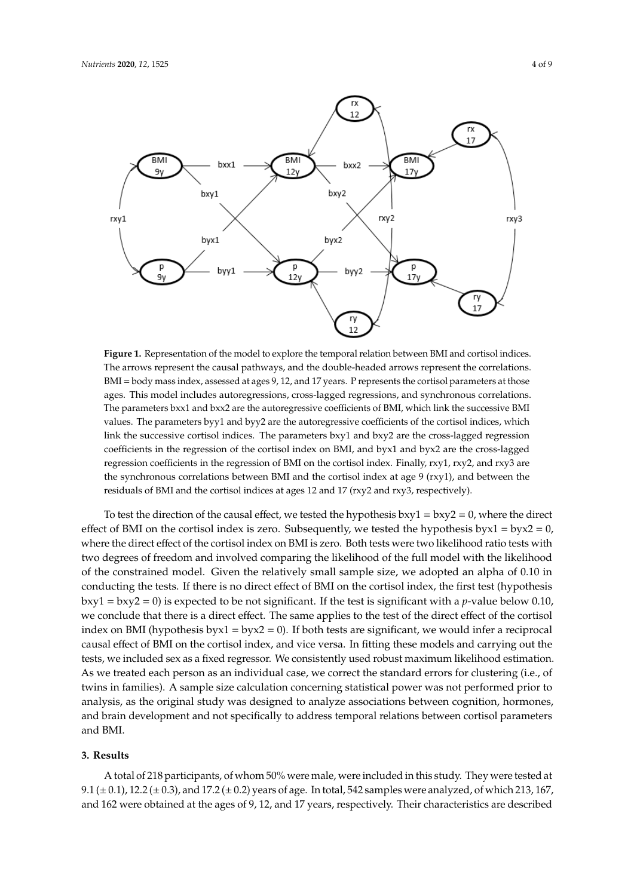<span id="page-3-0"></span>

**Figure 1.** Representation of the model to explore the temporal relation between BMI and cortisol **Figure 1.** Representation of the model to explore the temporal relation between BMI and cortisol indices. The arrows represent the causal pathways, and the double-headed arrows represent the correlations.  $BMI = body mass index, assessed at ages 9, 12, and 17 years. P represents the cortical parameters at those$ parameters at the those and the those and the those are greater includes and concerns the concerns of the those includes and the those includes and the those includes and the those includes and the those includes and the t ages. This model includes autoregressions, cross-lagged regressions, and synchronous correlations. The parameters bxx1 and bxx2 are the autoregressive coefficients of BMI, which link the successive BMI values. The parameters byy1 and byy2 are the autoregressive coefficients of the cortisol indices, which link the successive cortisol indices. The parameters bxy1 and bxy2 are the cross-lagged regression coefficients in the regression of the cortisol index on BMI, and byx1 and byx2 are the cross-lagged regression coefficients in the regression of BMI on the cortisol index. Finally, rxy1, rxy2, and rxy3 are  $\overline{a}$  (residual socialization the residuals of BMI and the corresponding at ages 12 and 17  $\overline{a}$ the synchronous correlations between BMI and the cortisol index at age 9 (rxy1), and between the residuals of BMI and the cortisol indices at ages 12 and 17 (rxy2 and rxy3, respectively).

To test the direction of the causal effect, we tested the hypothesis bxy1 = bxy2 = 0, where the direct effect of BMI on the cortisol index is zero. Subsequently, we tested the hypothesis byx $1 = b$ yx $2 = 0$ , where the direct effect of the cortisol index on BMI is zero. Both tests were two likelihood ratio tests with  $\frac{1}{2}$  degrees of freedom and involved comparing the litelihood of the full model with two degrees of freedom and involved comparing the likelihood of the full model with the likelihood<br>. To assess the direction of the likelihood of the full model with the likelihood of the constrained model. Given the relatively small sample size, we adopted an alpha of 0.10 in conducting the tests. If there is no direct effect of BMI on the cortisol index, the first test (hypothesis bxy1 = bxy2 = 0) is expected to be not significant. If the test is significant with a *p*-value below 0.10, we conclude that there is a direct effect. The same applies to the test of the direct effect of the cortisol index on BMI (hypothesis byx1 = byx2 = 0). If both tests are significant, we would infer a reciprocal residuals of  $\overline{D}$ MI and the cortisol index at ages 12 and 17  $\overline{C}$ causal effect of BMI on the cortisol index, and vice versa. In fitting these models and carrying out the tests, we included sex as a fixed regressor. We consistently used robust maximum likelihood estimation. As we treated each person as an individual case, we correct the standard errors for clustering (i.e., of twins in families). A sample size calculation concerning statistical power was not performed prior to analysis, as the original study was designed to analyze associations between cognition, hormones,  $\alpha$  is the test of  $\alpha$  is no direct effect of  $\alpha$  is no direct effect of  $\alpha$  is not the correction of  $\alpha$  is not the correction of  $\alpha$  is not the correction of  $\alpha$  is not the correction of  $\alpha$  is not the correctio and brain development and not specifically to address temporal relations between cortisol parameters<br>and parameters and BMI.

#### **3. Results**

A total of 218 participants, of whom 50% were male, were included in this study. They were tested at 9.1 ( $\pm$  0.1), 12.2 ( $\pm$  0.3), and 17.2 ( $\pm$  0.2) years of age. In total, 542 samples were analyzed, of which 213, 167, and 162 were obtained at the ages of 9, 12, and 17 years, respectively. Their characteristics are described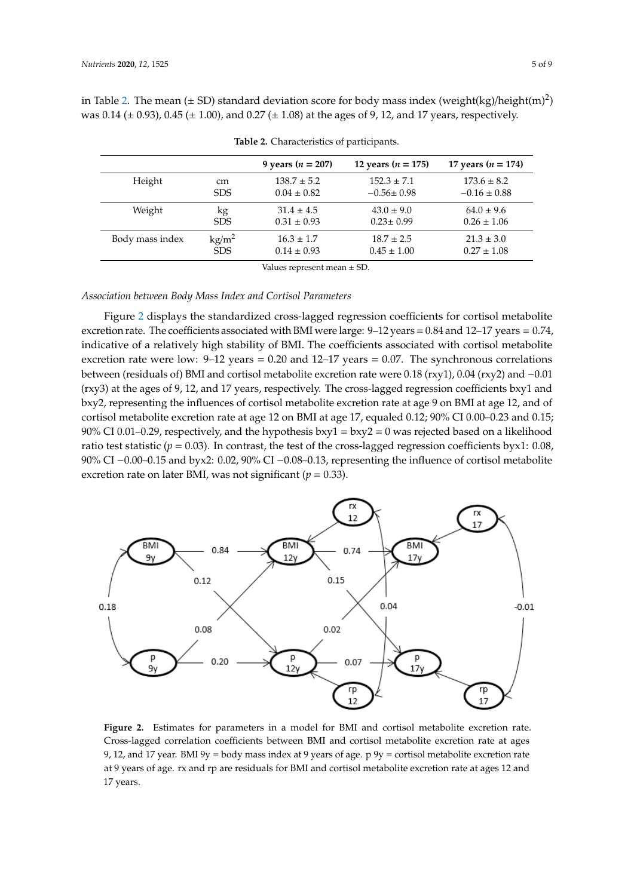in Table [2.](#page-4-0) The mean ( $\pm$  SD) standard deviation score for body mass index (weight(kg)/height(m)<sup>2</sup>) was 0.14 ( $\pm$  0.93), 0.45 ( $\pm$  1.00), and 0.27 ( $\pm$  1.08) at the ages of 9, 12, and 17 years, respectively.

<span id="page-4-0"></span>

|                 |                 | 9 years ( $n = 207$ ) | 12 years ( $n = 175$ ) | 17 years ( $n = 174$ ) |
|-----------------|-----------------|-----------------------|------------------------|------------------------|
| Height          | <sub>cm</sub>   | $138.7 \pm 5.2$       | $152.3 \pm 7.1$        | $173.6 \pm 8.2$        |
|                 | <b>SDS</b>      | $0.04 \pm 0.82$       | $-0.56 \pm 0.98$       | $-0.16 \pm 0.88$       |
| Weight          | kg              | $31.4 \pm 4.5$        | $43.0 \pm 9.0$         | $64.0 \pm 9.6$         |
|                 | <b>SDS</b>      | $0.31 \pm 0.93$       | $0.23 \pm 0.99$        | $0.26 \pm 1.06$        |
| Body mass index | $\text{kg/m}^2$ | $16.3 \pm 1.7$        | $18.7 \pm 2.5$         | $21.3 \pm 3.0$         |
|                 | <b>SDS</b>      | $0.14 \pm 0.93$       | $0.45 \pm 1.00$        | $0.27 \pm 1.08$        |

**Table 2.** Characteristics of participants.

Values represent mean ± SD.

### *Association between Body Mass Index and Cortisol Parameters*

Figure [2](#page-4-1) displays the standardized cross-lagged regression coefficients for cortisol metabolite excretion rate. The coefficients associated with BMI were large:  $9-12$  years =  $0.84$  and  $12-17$  years =  $0.74$ , indicative of a relatively high stability of BMI. The coefficients associated with cortisol metabolite excretion rate were low:  $9-12$  years = 0.20 and 12-17 years = 0.07. The synchronous correlations between (residuals of) BMI and cortisol metabolite excretion rate were 0.18 (rxy1), 0.04 (rxy2) and −0.01 (rxy3) at the ages of 9, 12, and 17 years, respectively. The cross-lagged regression coefficients bxy1 and bxy2, representing the influences of cortisol metabolite excretion rate at age 9 on BMI at age 12, and of cortisol metabolite excretion rate at age 12 on BMI at age 17, equaled 0.12; 90% CI 0.00–0.23 and 0.15; 90% CI 0.01–0.29, respectively, and the hypothesis  $bxy1 = bxy2 = 0$  was rejected based on a likelihood ratio test statistic ( $p = 0.03$ ). In contrast, the test of the cross-lagged regression coefficients byx1: 0.08, 90% CI −0.00–0.15 and byx2: 0.02, 90% CI −0.08–0.13, representing the influence of cortisol metabolite excretion rate on later BMI, was not significant ( $p = 0.33$ ).

<span id="page-4-1"></span>

**Figure 2.** Estimates for parameters in a model for BMI and cortisol metabolite excretion rate. Cross-lagged correlation coefficients between BMI and cortisol metabolite excretion rate at ages 9, 12, and 17 year. BMI 9y = body mass index at 9 years of age.  $p$  9y = cortisol metabolite excretion rate at 9 years of age. rx and rp are residuals for BMI and cortisol metabolite excretion rate at ages 12 and 17 years.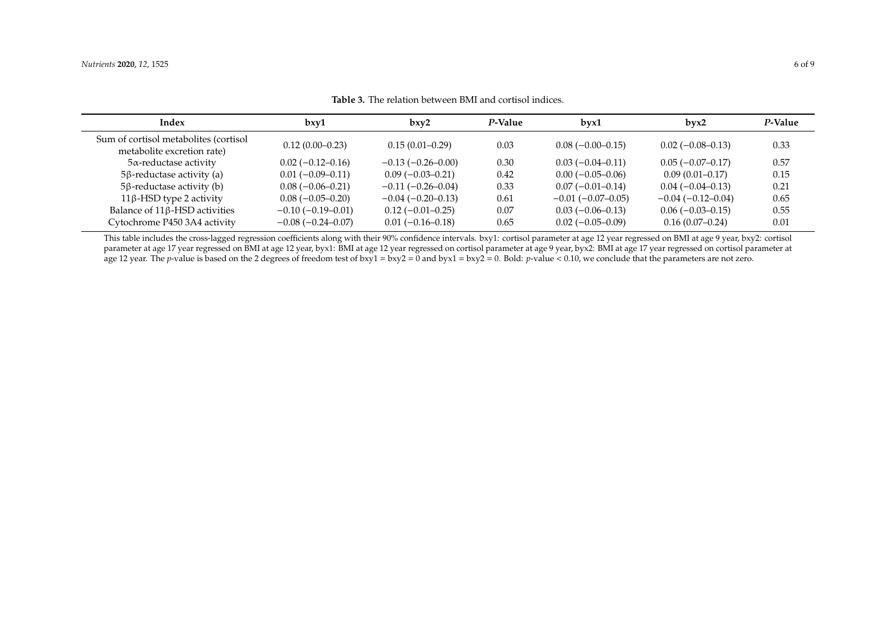| Index                                                               | bxy1                | bxy2                | P-Value | bvx1                | bvx2                | P-Value |
|---------------------------------------------------------------------|---------------------|---------------------|---------|---------------------|---------------------|---------|
| Sum of cortisol metabolites (cortisol<br>metabolite excretion rate) | $0.12(0.00-0.23)$   | $0.15(0.01-0.29)$   | 0.03    | $0.08(-0.00-0.15)$  | $0.02(-0.08-0.13)$  | 0.33    |
| $5\alpha$ -reductase activity                                       | $0.02(-0.12-0.16)$  | $-0.13(-0.26-0.00)$ | 0.30    | $0.03(-0.04-0.11)$  | $0.05(-0.07-0.17)$  | 0.57    |
| $5\beta$ -reductase activity (a)                                    | $0.01(-0.09-0.11)$  | $0.09(-0.03-0.21)$  | 0.42    | $0.00(-0.05-0.06)$  | $0.09(0.01 - 0.17)$ | 0.15    |
| $5\beta$ -reductase activity (b)                                    | $0.08(-0.06-0.21)$  | $-0.11(-0.26-0.04)$ | 0.33    | $0.07(-0.01-0.14)$  | $0.04(-0.04-0.13)$  | 0.21    |
| 11β-HSD type 2 activity                                             | $0.08(-0.05-0.20)$  | $-0.04(-0.20-0.13)$ | 0.61    | $-0.01(-0.07-0.05)$ | $-0.04(-0.12-0.04)$ | 0.65    |
| Balance of 11 <sub>B</sub> -HSD activities                          | $-0.10(-0.19-0.01)$ | $0.12(-0.01-0.25)$  | 0.07    | $0.03(-0.06-0.13)$  | $0.06(-0.03-0.15)$  | 0.55    |
| Cytochrome P450 3A4 activity                                        | $-0.08(-0.24-0.07)$ | $0.01(-0.16-0.18)$  | 0.65    | $0.02(-0.05-0.09)$  | $0.16(0.07-0.24)$   | 0.01    |

**Table 3.** The relation between BMI and cortisol indices.

<span id="page-5-0"></span>This table includes the cross-lagged regression coefficients along with their 90% confidence intervals. bxy1: cortisol parameter at age 12 year regressed on BMI at age 9 year, bxy2: cortisol parameter at age 17 year regressed on BMI at age 12 year, byx1: BMI at age 12 year regressed on cortisol parameter at age 9 year, byx2: BMI at age 17 year regressed on cortisol parameter at age 12 year. The *p*-value is based on the 2 degrees of freedom test of bxy1 = bxy2 = 0 and byx1 = bxy2 = 0. Bold: *p*-value < 0.10, we conclude that the parameters are not zero.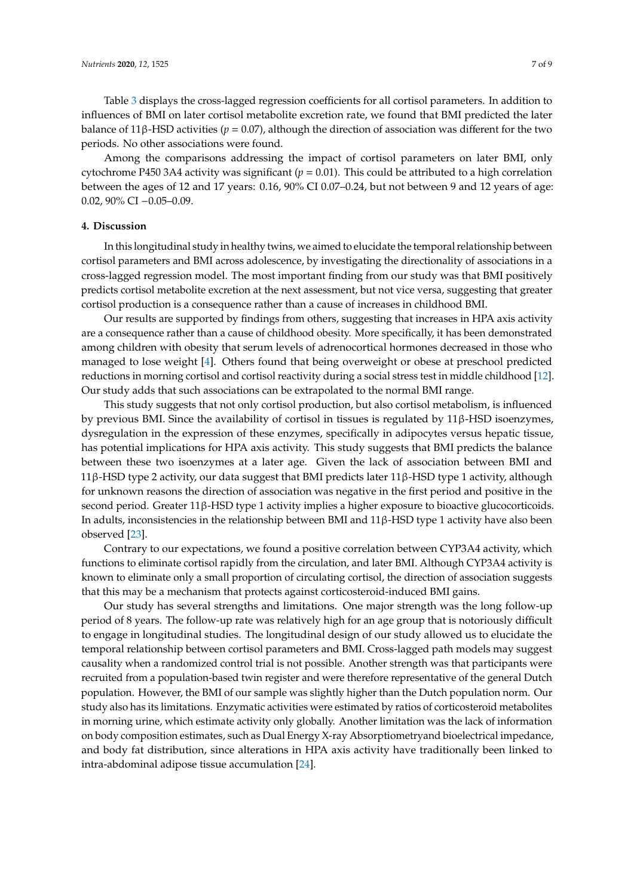Table [3](#page-5-0) displays the cross-lagged regression coefficients for all cortisol parameters. In addition to influences of BMI on later cortisol metabolite excretion rate, we found that BMI predicted the later balance of 11β-HSD activities ( $p = 0.07$ ), although the direction of association was different for the two periods. No other associations were found.

Among the comparisons addressing the impact of cortisol parameters on later BMI, only cytochrome P450 3A4 activity was significant  $(p = 0.01)$ . This could be attributed to a high correlation between the ages of 12 and 17 years: 0.16, 90% CI 0.07–0.24, but not between 9 and 12 years of age: 0.02, 90% CI −0.05–0.09.

#### **4. Discussion**

In this longitudinal study in healthy twins, we aimed to elucidate the temporal relationship between cortisol parameters and BMI across adolescence, by investigating the directionality of associations in a cross-lagged regression model. The most important finding from our study was that BMI positively predicts cortisol metabolite excretion at the next assessment, but not vice versa, suggesting that greater cortisol production is a consequence rather than a cause of increases in childhood BMI.

Our results are supported by findings from others, suggesting that increases in HPA axis activity are a consequence rather than a cause of childhood obesity. More specifically, it has been demonstrated among children with obesity that serum levels of adrenocortical hormones decreased in those who managed to lose weight [\[4\]](#page-7-3). Others found that being overweight or obese at preschool predicted reductions in morning cortisol and cortisol reactivity during a social stress test in middle childhood [\[12\]](#page-8-0). Our study adds that such associations can be extrapolated to the normal BMI range.

This study suggests that not only cortisol production, but also cortisol metabolism, is influenced by previous BMI. Since the availability of cortisol in tissues is regulated by 11β-HSD isoenzymes, dysregulation in the expression of these enzymes, specifically in adipocytes versus hepatic tissue, has potential implications for HPA axis activity. This study suggests that BMI predicts the balance between these two isoenzymes at a later age. Given the lack of association between BMI and 11β-HSD type 2 activity, our data suggest that BMI predicts later 11β-HSD type 1 activity, although for unknown reasons the direction of association was negative in the first period and positive in the second period. Greater 11β-HSD type 1 activity implies a higher exposure to bioactive glucocorticoids. In adults, inconsistencies in the relationship between BMI and  $11\beta$ -HSD type 1 activity have also been observed [\[23\]](#page-8-11).

Contrary to our expectations, we found a positive correlation between CYP3A4 activity, which functions to eliminate cortisol rapidly from the circulation, and later BMI. Although CYP3A4 activity is known to eliminate only a small proportion of circulating cortisol, the direction of association suggests that this may be a mechanism that protects against corticosteroid-induced BMI gains.

Our study has several strengths and limitations. One major strength was the long follow-up period of 8 years. The follow-up rate was relatively high for an age group that is notoriously difficult to engage in longitudinal studies. The longitudinal design of our study allowed us to elucidate the temporal relationship between cortisol parameters and BMI. Cross-lagged path models may suggest causality when a randomized control trial is not possible. Another strength was that participants were recruited from a population-based twin register and were therefore representative of the general Dutch population. However, the BMI of our sample was slightly higher than the Dutch population norm. Our study also has its limitations. Enzymatic activities were estimated by ratios of corticosteroid metabolites in morning urine, which estimate activity only globally. Another limitation was the lack of information on body composition estimates, such as Dual Energy X-ray Absorptiometryand bioelectrical impedance, and body fat distribution, since alterations in HPA axis activity have traditionally been linked to intra-abdominal adipose tissue accumulation [\[24\]](#page-8-12).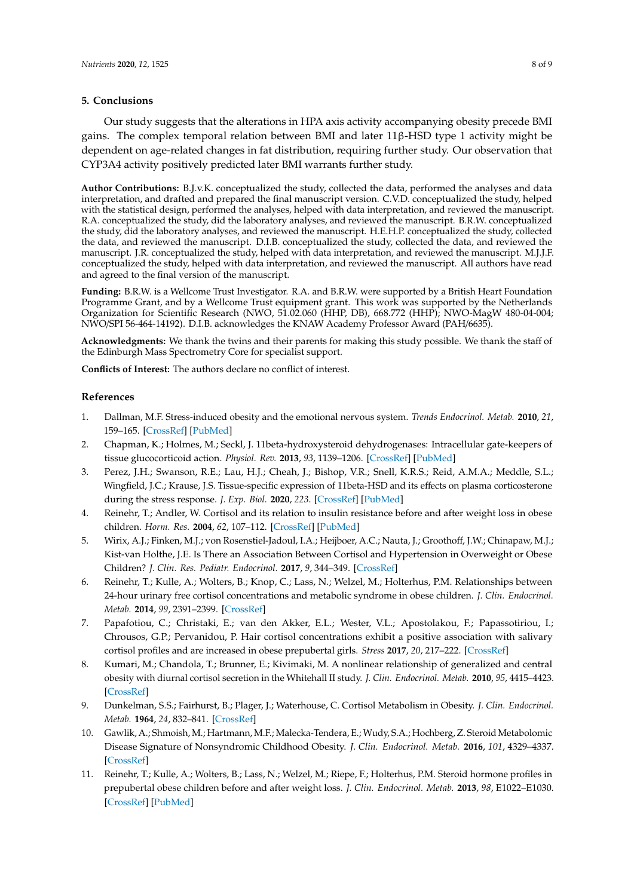#### **5. Conclusions**

Our study suggests that the alterations in HPA axis activity accompanying obesity precede BMI gains. The complex temporal relation between BMI and later 11β-HSD type 1 activity might be dependent on age-related changes in fat distribution, requiring further study. Our observation that CYP3A4 activity positively predicted later BMI warrants further study.

**Author Contributions:** B.J.v.K. conceptualized the study, collected the data, performed the analyses and data interpretation, and drafted and prepared the final manuscript version. C.V.D. conceptualized the study, helped with the statistical design, performed the analyses, helped with data interpretation, and reviewed the manuscript. R.A. conceptualized the study, did the laboratory analyses, and reviewed the manuscript. B.R.W. conceptualized the study, did the laboratory analyses, and reviewed the manuscript. H.E.H.P. conceptualized the study, collected the data, and reviewed the manuscript. D.I.B. conceptualized the study, collected the data, and reviewed the manuscript. J.R. conceptualized the study, helped with data interpretation, and reviewed the manuscript. M.J.J.F. conceptualized the study, helped with data interpretation, and reviewed the manuscript. All authors have read and agreed to the final version of the manuscript.

**Funding:** B.R.W. is a Wellcome Trust Investigator. R.A. and B.R.W. were supported by a British Heart Foundation Programme Grant, and by a Wellcome Trust equipment grant. This work was supported by the Netherlands Organization for Scientific Research (NWO, 51.02.060 (HHP, DB), 668.772 (HHP); NWO-MagW 480-04-004; NWO/SPI 56-464-14192). D.I.B. acknowledges the KNAW Academy Professor Award (PAH/6635).

**Acknowledgments:** We thank the twins and their parents for making this study possible. We thank the staff of the Edinburgh Mass Spectrometry Core for specialist support.

**Conflicts of Interest:** The authors declare no conflict of interest.

#### **References**

- <span id="page-7-0"></span>1. Dallman, M.F. Stress-induced obesity and the emotional nervous system. *Trends Endocrinol. Metab.* **2010**, *21*, 159–165. [\[CrossRef\]](http://dx.doi.org/10.1016/j.tem.2009.10.004) [\[PubMed\]](http://www.ncbi.nlm.nih.gov/pubmed/19926299)
- <span id="page-7-1"></span>2. Chapman, K.; Holmes, M.; Seckl, J. 11beta-hydroxysteroid dehydrogenases: Intracellular gate-keepers of tissue glucocorticoid action. *Physiol. Rev.* **2013**, *93*, 1139–1206. [\[CrossRef\]](http://dx.doi.org/10.1152/physrev.00020.2012) [\[PubMed\]](http://www.ncbi.nlm.nih.gov/pubmed/23899562)
- <span id="page-7-2"></span>3. Perez, J.H.; Swanson, R.E.; Lau, H.J.; Cheah, J.; Bishop, V.R.; Snell, K.R.S.; Reid, A.M.A.; Meddle, S.L.; Wingfield, J.C.; Krause, J.S. Tissue-specific expression of 11beta-HSD and its effects on plasma corticosterone during the stress response. *J. Exp. Biol.* **2020**, *223*. [\[CrossRef\]](http://dx.doi.org/10.1242/jeb.209346) [\[PubMed\]](http://www.ncbi.nlm.nih.gov/pubmed/31796607)
- <span id="page-7-3"></span>4. Reinehr, T.; Andler, W. Cortisol and its relation to insulin resistance before and after weight loss in obese children. *Horm. Res.* **2004**, *62*, 107–112. [\[CrossRef\]](http://dx.doi.org/10.1159/000079841) [\[PubMed\]](http://www.ncbi.nlm.nih.gov/pubmed/15256820)
- 5. Wirix, A.J.; Finken, M.J.; von Rosenstiel-Jadoul, I.A.; Heijboer, A.C.; Nauta, J.; Groothoff, J.W.; Chinapaw, M.J.; Kist-van Holthe, J.E. Is There an Association Between Cortisol and Hypertension in Overweight or Obese Children? *J. Clin. Res. Pediatr. Endocrinol.* **2017**, *9*, 344–349. [\[CrossRef\]](http://dx.doi.org/10.4274/jcrpe.4802)
- <span id="page-7-5"></span>6. Reinehr, T.; Kulle, A.; Wolters, B.; Knop, C.; Lass, N.; Welzel, M.; Holterhus, P.M. Relationships between 24-hour urinary free cortisol concentrations and metabolic syndrome in obese children. *J. Clin. Endocrinol. Metab.* **2014**, *99*, 2391–2399. [\[CrossRef\]](http://dx.doi.org/10.1210/jc.2013-4398)
- 7. Papafotiou, C.; Christaki, E.; van den Akker, E.L.; Wester, V.L.; Apostolakou, F.; Papassotiriou, I.; Chrousos, G.P.; Pervanidou, P. Hair cortisol concentrations exhibit a positive association with salivary cortisol profiles and are increased in obese prepubertal girls. *Stress* **2017**, *20*, 217–222. [\[CrossRef\]](http://dx.doi.org/10.1080/10253890.2017.1303830)
- 8. Kumari, M.; Chandola, T.; Brunner, E.; Kivimaki, M. A nonlinear relationship of generalized and central obesity with diurnal cortisol secretion in the Whitehall II study. *J. Clin. Endocrinol. Metab.* **2010**, *95*, 4415–4423. [\[CrossRef\]](http://dx.doi.org/10.1210/jc.2009-2105)
- <span id="page-7-4"></span>9. Dunkelman, S.S.; Fairhurst, B.; Plager, J.; Waterhouse, C. Cortisol Metabolism in Obesity. *J. Clin. Endocrinol. Metab.* **1964**, *24*, 832–841. [\[CrossRef\]](http://dx.doi.org/10.1210/jcem-24-9-832)
- <span id="page-7-6"></span>10. Gawlik, A.; Shmoish, M.; Hartmann, M.F.; Malecka-Tendera, E.; Wudy, S.A.; Hochberg, Z. Steroid Metabolomic Disease Signature of Nonsyndromic Childhood Obesity. *J. Clin. Endocrinol. Metab.* **2016**, *101*, 4329–4337. [\[CrossRef\]](http://dx.doi.org/10.1210/jc.2016-1754)
- <span id="page-7-7"></span>11. Reinehr, T.; Kulle, A.; Wolters, B.; Lass, N.; Welzel, M.; Riepe, F.; Holterhus, P.M. Steroid hormone profiles in prepubertal obese children before and after weight loss. *J. Clin. Endocrinol. Metab.* **2013**, *98*, E1022–E1030. [\[CrossRef\]](http://dx.doi.org/10.1210/jc.2013-1173) [\[PubMed\]](http://www.ncbi.nlm.nih.gov/pubmed/23703723)